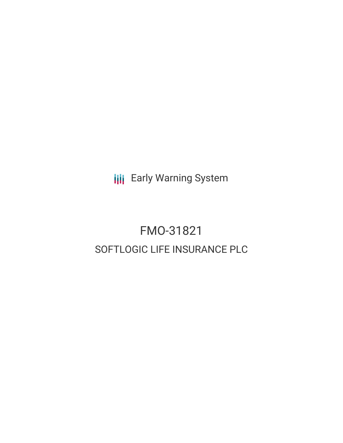**III** Early Warning System

# FMO-31821 SOFTLOGIC LIFE INSURANCE PLC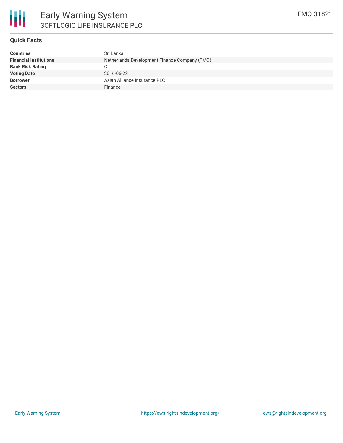

## **Quick Facts**

| <b>Countries</b>              | Sri Lanka                                     |
|-------------------------------|-----------------------------------------------|
| <b>Financial Institutions</b> | Netherlands Development Finance Company (FMO) |
| <b>Bank Risk Rating</b>       | C.                                            |
| <b>Voting Date</b>            | 2016-06-23                                    |
| <b>Borrower</b>               | Asian Alliance Insurance PLC                  |
| <b>Sectors</b>                | Finance                                       |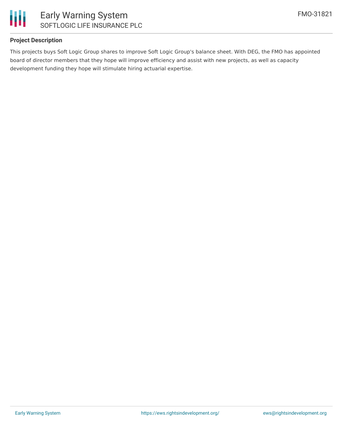

## **Project Description**

This projects buys Soft Logic Group shares to improve Soft Logic Group's balance sheet. With DEG, the FMO has appointed board of director members that they hope will improve efficiency and assist with new projects, as well as capacity development funding they hope will stimulate hiring actuarial expertise.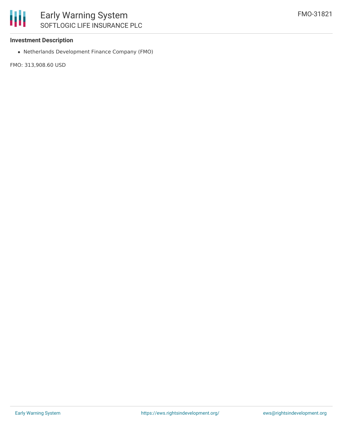#### **Investment Description**

Netherlands Development Finance Company (FMO)

FMO: 313,908.60 USD